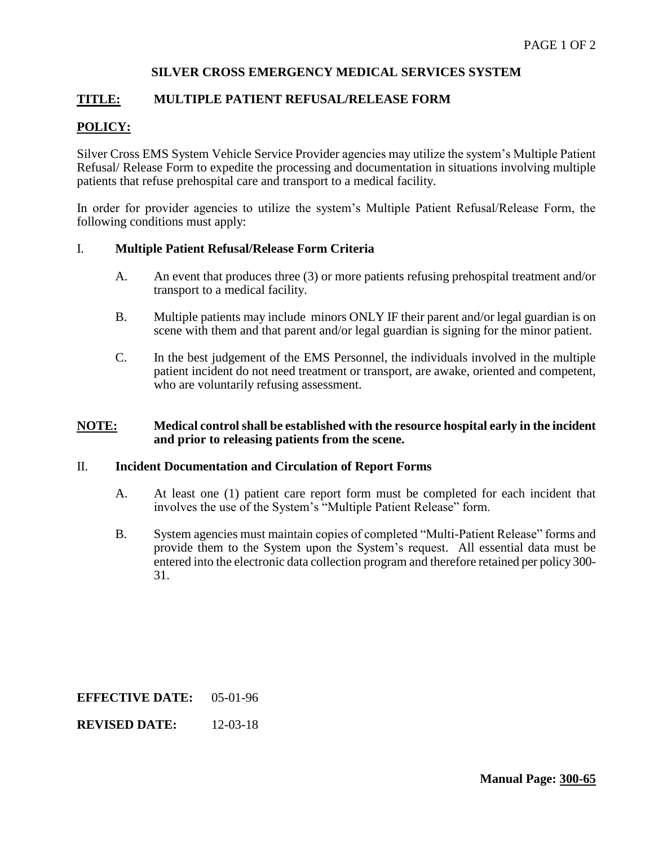## **SILVER CROSS EMERGENCY MEDICAL SERVICES SYSTEM**

## **TITLE: MULTIPLE PATIENT REFUSAL/RELEASE FORM**

# **POLICY:**

Silver Cross EMS System Vehicle Service Provider agencies may utilize the system's Multiple Patient Refusal/ Release Form to expedite the processing and documentation in situations involving multiple patients that refuse prehospital care and transport to a medical facility.

In order for provider agencies to utilize the system's Multiple Patient Refusal/Release Form, the following conditions must apply:

### I. **Multiple Patient Refusal/Release Form Criteria**

- A. An event that produces three (3) or more patients refusing prehospital treatment and/or transport to a medical facility.
- B. Multiple patients may include minors ONLY IF their parent and/or legal guardian is on scene with them and that parent and/or legal guardian is signing for the minor patient.
- C. In the best judgement of the EMS Personnel, the individuals involved in the multiple patient incident do not need treatment or transport, are awake, oriented and competent, who are voluntarily refusing assessment.

### **NOTE: Medical control shall be established with the resource hospital early in the incident and prior to releasing patients from the scene.**

#### II. **Incident Documentation and Circulation of Report Forms**

- A. At least one (1) patient care report form must be completed for each incident that involves the use of the System's "Multiple Patient Release" form.
- B. System agencies must maintain copies of completed "Multi-Patient Release" forms and provide them to the System upon the System's request. All essential data must be entered into the electronic data collection program and therefore retained per policy 300- 31.

**EFFECTIVE DATE:** 05-01-96

**REVISED DATE:** 12-03-18